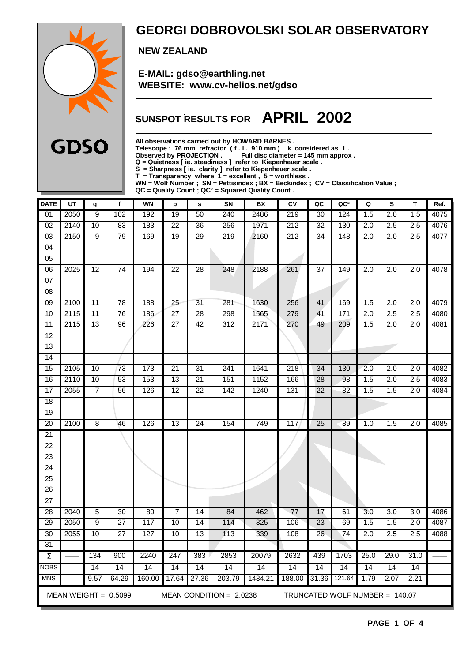

### **GEORGI DOBROVOLSKI SOLAR OBSERVATORY**

 **NEW ZEALAND**

 **E-MAIL: gdso@earthling.net WEBSITE: www.cv-helios.net/gdso**

## **SUNSPOT RESULTS FOR APRIL 2002**

**All observations carried out by HOWARD BARNES .**

**Telescope : 76 mm refractor ( f . l . 910 mm ) k considered as 1 .**

**Observed by PROJECTION . Full disc diameter = 145 mm approx .**

**Q = Quietness [ ie. steadiness ] refer to Kiepenheuer scale .**

**S = Sharpness [ ie. clarity ] refer to Kiepenheuer scale .**

**T = Transparency where 1 = excellent , 5 = worthless .**

**WN = Wolf Number ; SN = Pettisindex ; BX = Beckindex ; CV = Classification Value ;**

**QC = Quality Count ; QC² = Squared Quality Count .**

| <b>DATE</b>                        | UT       | g               | $\mathbf{f}$           | <b>WN</b> | p               | s               | SN                        | <b>BX</b> | CV               | QC              | QC <sup>2</sup>                | Q                | S                | T                | Ref. |
|------------------------------------|----------|-----------------|------------------------|-----------|-----------------|-----------------|---------------------------|-----------|------------------|-----------------|--------------------------------|------------------|------------------|------------------|------|
| $\overline{01}$                    | 2050     | 9               | 102                    | 192       | 19              | 50              | 240                       | 2486      | 219              | 30              | 124                            | 1.5              | 2.0              | 1.5              | 4075 |
| 02                                 | 2140     | 10              | 83                     | 183       | 22              | 36              | 256                       | 1971      | $\overline{212}$ | 32              | 130                            | 2.0              | 2.5              | 2.5              | 4076 |
| 03                                 | 2150     | 9               | 79                     | 169       | 19              | 29              | 219                       | 2160      | 212              | 34              | 148                            | 2.0              | 2.0              | 2.5              | 4077 |
| 04                                 |          |                 |                        |           |                 |                 |                           |           |                  |                 |                                |                  |                  |                  |      |
| 05                                 |          |                 |                        |           |                 |                 |                           |           |                  |                 |                                |                  |                  |                  |      |
| $\overline{06}$                    | 2025     | $\overline{12}$ | $\overline{74}$        | 194       | $\overline{22}$ | 28              | 248                       | 2188      | 261              | 37              | 149                            | $\overline{2.0}$ | $\overline{2.0}$ | $\overline{2.0}$ | 4078 |
| 07                                 |          |                 |                        |           |                 |                 |                           | $\sim$    |                  |                 |                                |                  |                  |                  |      |
| 08                                 |          |                 |                        |           |                 |                 |                           |           |                  |                 |                                |                  |                  |                  |      |
| 09                                 | 2100     | 11              | 78                     | 188       | 25              | 31              | 281                       | 1630      | 256              | 41              | 169                            | 1.5              | 2.0              | 2.0              | 4079 |
| 10                                 | 2115     | $\overline{11}$ | $\overline{76}$        | 186       | $\overline{27}$ | $\overline{28}$ | 298                       | 1565      | 279              | 41              | $\frac{1}{171}$                | $\overline{2.0}$ | 2.5              | $\overline{2.5}$ | 4080 |
| 11                                 | 2115     | 13              | 96                     | 226       | $\overline{27}$ | 42              | 312                       | 2171      | 270              | 49              | 209                            | 1.5              | 2.0              | 2.0              | 4081 |
| $\overline{12}$                    |          |                 |                        |           |                 |                 |                           |           |                  |                 |                                |                  |                  |                  |      |
| 13                                 |          |                 |                        |           |                 |                 |                           |           |                  |                 |                                |                  |                  |                  |      |
| 14                                 |          |                 |                        |           |                 |                 |                           |           |                  |                 |                                |                  |                  |                  |      |
| 15                                 | 2105     | 10              | 73                     | 173       | 21              | 31              | 241                       | 1641      | 218              | 34              | 130                            | 2.0              | 2.0              | 2.0              | 4082 |
| 16                                 | 2110     | 10              | 53                     | 153       | $\overline{13}$ | 21              | 151                       | 1152      | 166              | $\overline{28}$ | 98                             | 1.5              | 2.0              | 2.5              | 4083 |
| 17                                 | 2055     | $\overline{7}$  | 56                     | 126       | $\overline{12}$ | 22              | 142                       | 1240      | 131              | 22              | 82                             | 1.5              | 1.5              | 2.0              | 4084 |
| 18                                 |          |                 |                        |           |                 |                 |                           |           |                  |                 |                                |                  |                  |                  |      |
| $\overline{19}$                    |          |                 |                        |           |                 |                 |                           |           |                  |                 |                                |                  |                  |                  |      |
| $\overline{20}$                    | 2100     | $\overline{8}$  | 46                     | 126       | $\overline{13}$ | $\overline{24}$ | 154                       | 749       | 117              | 25              | 89                             | 1.0              | 1.5              | $\overline{2.0}$ | 4085 |
| 21                                 |          |                 |                        |           |                 |                 |                           |           |                  |                 |                                |                  |                  |                  |      |
| $\overline{22}$                    |          |                 |                        |           |                 |                 |                           |           |                  |                 |                                |                  |                  |                  |      |
| $\overline{23}$                    |          |                 |                        |           |                 |                 |                           |           |                  |                 |                                |                  |                  |                  |      |
| $\overline{24}$                    |          |                 |                        |           |                 |                 |                           |           |                  |                 |                                |                  |                  |                  |      |
| $\overline{25}$                    |          |                 |                        |           |                 |                 |                           |           |                  |                 |                                |                  |                  |                  |      |
| $\overline{26}$<br>$\overline{27}$ |          |                 |                        |           |                 |                 |                           |           |                  |                 |                                |                  |                  |                  |      |
| 28                                 | 2040     | $\overline{5}$  | 30                     | 80        | $\overline{7}$  | 14              | 84                        | 462       | 77               | 17              | 61                             | 3.0              | 3.0              | 3.0              | 4086 |
| 29                                 | 2050     | 9               | 27                     | 117       | 10              | 14              | 114                       | 325       | 106              | 23              | 69                             | 1.5              | 1.5              | 2.0              | 4087 |
| $\overline{30}$                    | 2055     | 10              | $\overline{27}$        | 127       | 10              | $\overline{13}$ | $\overline{113}$          | 339       | 108              | 26              | $\overline{74}$                | $\overline{2.0}$ | 2.5              | 2.5              | 4088 |
| $\overline{31}$                    | $\equiv$ |                 |                        |           |                 |                 |                           |           |                  |                 |                                |                  |                  |                  |      |
| $\overline{\Sigma}$                |          | 134             | 900                    | 2240      | 247             | 383             | 2853                      | 20079     | 2632             | 439             | 1703                           | 25.0             | 29.0             | 31.0             |      |
| <b>NOBS</b>                        |          | 14              | 14                     | 14        | 14              | 14              | 14                        | 14        | 14               | 14              | 14                             | 14               | 14               | 14               |      |
| <b>MNS</b>                         |          | 9.57            | 64.29                  | 160.00    | 17.64           | 27.36           | 203.79                    | 1434.21   | 188.00           | 31.36           | 121.64                         | 1.79             | 2.07             | 2.21             |      |
|                                    |          |                 |                        |           |                 |                 |                           |           |                  |                 |                                |                  |                  |                  |      |
|                                    |          |                 | MEAN WEIGHT = $0.5099$ |           |                 |                 | MEAN CONDITION = $2.0238$ |           |                  |                 | TRUNCATED WOLF NUMBER = 140.07 |                  |                  |                  |      |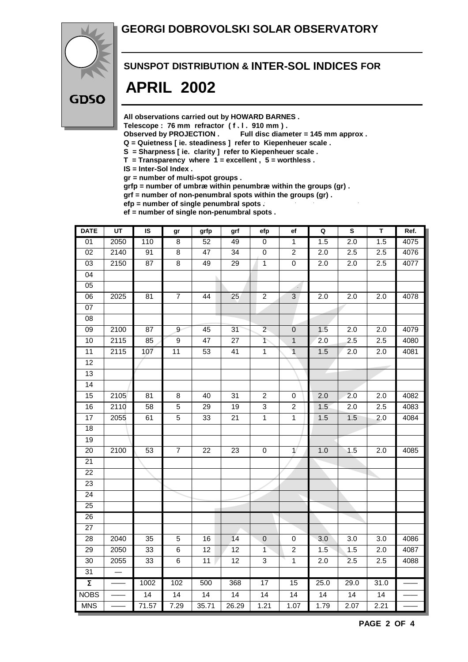#### **GEORGI DOBROVOLSKI SOLAR OBSERVATORY**



#### **SUNSPOT DISTRIBUTION & INTER-SOL INDICES FOR**

## **APRIL 2002**

**All observations carried out by HOWARD BARNES .**

Telescope : 76 mm refractor (f. l. 910 mm).<br>Observed by PROJECTION . Full disc diam

Full disc diameter = 145 mm approx .

- **Q = Quietness [ ie. steadiness ] refer to Kiepenheuer scale .**
- **S = Sharpness [ ie. clarity ] refer to Kiepenheuer scale .**
- **T = Transparency where 1 = excellent , 5 = worthless .**
- **IS = Inter-Sol Index .**

**gr = number of multi-spot groups .**

**grfp = number of umbræ within penumbræ within the groups (gr) .**

**grf = number of non-penumbral spots within the groups (gr) .**

**efp = number of single penumbral spots .**

**ef = number of single non-penumbral spots .**

| <b>DATE</b>         | $\overline{UT}$ | $\overline{\mathsf{s}}$ | gr                      | grfp            | grf             | efp                      | ef                    | Q                | $\overline{\mathbf{s}}$ | $\overline{\mathsf{T}}$ | Ref. |
|---------------------|-----------------|-------------------------|-------------------------|-----------------|-----------------|--------------------------|-----------------------|------------------|-------------------------|-------------------------|------|
| $\overline{01}$     | 2050            | 110                     | $\overline{\mathbf{8}}$ | 52              | 49              | 0                        | 1                     | 1.5              | $\overline{2.0}$        | 1.5                     | 4075 |
| $\overline{02}$     | 2140            | 91                      | $\overline{8}$          | $\overline{47}$ | $\overline{34}$ | $\pmb{0}$                | $\overline{2}$        | 2.0              | 2.5                     | 2.5                     | 4076 |
| 03                  | 2150            | 87                      | $\overline{8}$          | 49              | 29              | $\overline{1}$           | $\overline{0}$        | $\overline{2.0}$ | $\overline{2.0}$        | 2.5                     | 4077 |
| 04                  |                 |                         |                         |                 |                 |                          |                       |                  |                         |                         |      |
| 05                  |                 |                         |                         |                 |                 |                          |                       |                  |                         |                         |      |
| $\overline{06}$     | 2025            | 81                      | $\overline{7}$          | 44              | 25              | $\overline{2}$           | $\mathbf{3}$          | 2.0              | $\overline{2.0}$        | 2.0                     | 4078 |
| $\overline{07}$     |                 |                         |                         |                 |                 |                          |                       |                  |                         |                         |      |
| $\overline{08}$     |                 |                         |                         |                 |                 |                          |                       |                  |                         |                         |      |
| $\overline{09}$     | 2100            | 87                      | 9                       | 45              | 31              | $2 -$                    | $\overline{0}$        | 1.5              | 2.0                     | 2.0                     | 4079 |
| $\overline{10}$     | 2115            | 85                      | $\overline{9}$          | $\overline{47}$ | $\overline{27}$ | $\overline{\phantom{a}}$ | $\overline{1}$        | $\overline{2.0}$ | 2.5                     | 2.5                     | 4080 |
| $\overline{11}$     | 2115            | $\overline{107}$        | $\overline{11}$         | 53              | 41              | $\overline{1}$           | $\overline{1}$        | 1.5              | $\overline{2.0}$        | 2.0                     | 4081 |
| 12                  |                 |                         |                         |                 |                 |                          |                       |                  |                         |                         |      |
| 13                  |                 |                         |                         |                 |                 |                          |                       |                  |                         |                         |      |
| 14                  |                 |                         |                         |                 |                 |                          |                       |                  |                         |                         |      |
| $\overline{15}$     | 2105            | 81                      | $\overline{8}$          | 40              | 31              | $\overline{2}$           | $\pmb{0}$             | 2.0              | 2.0                     | $\overline{2.0}$        | 4082 |
| 16                  | 2110            | 58                      | $\overline{5}$          | $\overline{29}$ | $\overline{19}$ | 3                        | $\boldsymbol{2}$      | 1.5              | 2.0                     | 2.5                     | 4083 |
| 17                  | 2055            | 61                      | $\overline{5}$          | 33              | 21              | $\mathbf 1$              | $\mathbf{1}$          | 1.5              | 1.5                     | 2.0                     | 4084 |
| 18                  |                 |                         |                         |                 |                 |                          |                       |                  |                         |                         |      |
| $\overline{19}$     |                 |                         |                         |                 |                 |                          |                       |                  |                         |                         |      |
| 20                  | 2100            | 53                      | $\boldsymbol{7}$        | 22              | 23              | $\pmb{0}$                | $\mathbf{1}^{\prime}$ | 1.0              | 1.5                     | 2.0                     | 4085 |
| $\overline{21}$     |                 |                         |                         |                 |                 |                          |                       |                  |                         |                         |      |
| 22                  |                 |                         |                         |                 |                 |                          |                       |                  |                         |                         |      |
| 23                  |                 |                         |                         |                 |                 |                          |                       |                  |                         |                         |      |
| $\overline{24}$     |                 |                         |                         |                 |                 |                          |                       |                  |                         |                         |      |
| 25                  |                 |                         |                         |                 |                 |                          |                       |                  |                         |                         |      |
| 26                  |                 |                         |                         |                 |                 |                          |                       |                  |                         |                         |      |
| 27                  |                 |                         |                         |                 |                 |                          |                       |                  |                         |                         |      |
| 28                  | 2040            | 35                      | 5                       | 16              | 14              | $\pmb{0}$                | $\pmb{0}$             | 3.0              | 3.0                     | 3.0                     | 4086 |
| 29                  | 2050            | 33                      | $\overline{6}$          | $\overline{12}$ | $\overline{12}$ | $\overline{1}$           | $\overline{2}$        | 1.5              | 1.5                     | 2.0                     | 4087 |
| 30                  | 2055            | 33                      | $\overline{6}$          | $\overline{11}$ | $\overline{12}$ | $\overline{3}$           | $\overline{1}$        | 2.0              | 2.5                     | 2.5                     | 4088 |
| 31                  |                 |                         |                         |                 |                 |                          |                       |                  |                         |                         |      |
| $\overline{\Sigma}$ |                 | 1002                    | 102                     | 500             | 368             | 17                       | 15                    | 25.0             | 29.0                    | 31.0                    |      |
| <b>NOBS</b>         |                 | $\overline{14}$         | $\overline{14}$         | $\overline{14}$ | $\overline{14}$ | $\overline{14}$          | $\overline{14}$       | $\overline{14}$  | $\overline{14}$         | $\overline{14}$         |      |
| <b>MNS</b>          |                 | 71.57                   | 7.29                    | 35.71           | 26.29           | 1.21                     | 1.07                  | 1.79             | 2.07                    | 2.21                    |      |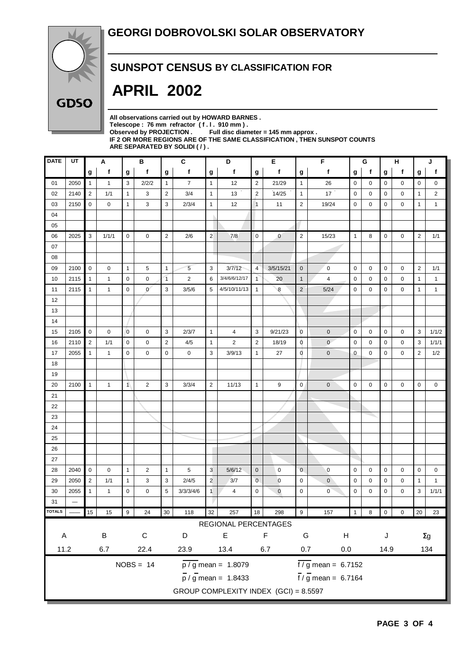

### **SUNSPOT CENSUS BY CLASSIFICATION FOR**

# **APRIL 2002**

| All observations carried out by HOWARD BARNES.                             |
|----------------------------------------------------------------------------|
| Telescope: 76 mm refractor (f.l. 910 mm).                                  |
| Observed by PROJECTION $\qquad \qquad$ Full disc diameter = 145 mm approx. |
| IF 2 OR MORE REGIONS ARE OF THE SAME CLASSIFICATION . THEN SUNSPOT COUNTS  |
|                                                                            |
| ARE SEPARATED BY SOLIDI ( / ).                                             |

| <b>DATE</b>  | UT   |                | Α            |                | в              |                | C<br>D         |                |                                               | Е<br>F         |                |                        | G                                 |              | н |                          | J           |                |                |
|--------------|------|----------------|--------------|----------------|----------------|----------------|----------------|----------------|-----------------------------------------------|----------------|----------------|------------------------|-----------------------------------|--------------|---|--------------------------|-------------|----------------|----------------|
|              |      | g              | f            | g              | f              | g              | f              | g              | f                                             | g              | f              | g                      | $\mathbf f$                       | g            | f | g                        | f           | g              | f              |
| 01           | 2050 | $\mathbf{1}$   | $\mathbf{1}$ | 3              | 2/2/2          | $\mathbf{1}$   | $\overline{7}$ | $\mathbf{1}$   | 12                                            | $\overline{2}$ | 21/29          | $\mathbf{1}$           | 26                                | $\mathbf 0$  | 0 | 0                        | 0           | 0              | 0              |
| 02           | 2140 | $\overline{2}$ | 1/1          | $\mathbf{1}$   | 3              | $\overline{2}$ | 3/4            | $\mathbf{1}$   | 13                                            | $\overline{2}$ | 14/25          | $\mathbf{1}$           | 17                                | $\mathbf 0$  | 0 | 0                        | 0           | $\mathbf{1}$   | $\overline{c}$ |
| 03           | 2150 | $\mathbf 0$    | 0            | $\mathbf{1}$   | 3              | 3              | 2/3/4          | $\mathbf{1}$   | 12                                            | $\mathbf{1}$   | 11             | $\overline{2}$         | 19/24                             | $\mathbf 0$  | 0 | 0                        | 0           | $\mathbf{1}$   | $\mathbf{1}$   |
| 04           |      |                |              |                |                |                |                |                |                                               |                |                |                        |                                   |              |   |                          |             |                |                |
| 05           |      |                |              |                |                |                |                |                |                                               |                |                |                        |                                   |              |   |                          |             |                |                |
| 06           | 2025 | 3              | 1/1/1        | $\mathbf 0$    | 0              | $\sqrt{2}$     | 2/6            | $\overline{2}$ | 7/8                                           | $\mathbf 0$    | $\overline{0}$ | $\overline{2}$         | 15/23                             | $\mathbf{1}$ | 8 | 0                        | 0           | 2              | 1/1            |
| 07           |      |                |              |                |                |                |                |                |                                               |                |                |                        |                                   |              |   |                          |             |                |                |
| 08           |      |                |              |                |                |                |                |                |                                               |                |                |                        |                                   |              |   |                          |             |                |                |
| 09           | 2100 | $\mathbf 0$    | 0            | $\mathbf{1}$   | 5              | $\mathbf{1}$   | 5              | 3              | 3/7/12                                        | $\overline{4}$ | 3/5/15/21      | $\pmb{0}$              | $\mathbf 0$                       | $\mathbf 0$  | 0 | 0                        | 0           | $\overline{2}$ | 1/1            |
| 10           | 2115 | $\mathbf{1}$   | 1            | $\mathbf 0$    | 0              | $\overline{1}$ | $\overline{2}$ | 6              | 3/4/6/6/12/17                                 | $\mathbf{1}$   | 20             | 1                      | 4                                 | $\mathbf 0$  | 0 | 0                        | $\mathbf 0$ | $\mathbf{1}$   | $\mathbf{1}$   |
| 11           | 2115 | $\mathbf{1}$   | $\mathbf{1}$ | $\mathbf 0$    | $\mathbf{0}$   | 3              | 3/5/6          | 5              | 4/5/10/11/13                                  | $\mathbf{1}$   | 8              | $\overline{2}$         | 5/24                              | $\mathbf 0$  | 0 | 0                        | 0           | $\mathbf{1}$   | $\mathbf{1}$   |
| 12           |      |                |              |                |                |                |                |                |                                               |                |                |                        |                                   |              |   |                          |             |                |                |
| 13           |      |                |              |                |                |                |                |                |                                               |                |                |                        |                                   |              |   |                          |             |                |                |
| 14           |      |                |              |                |                |                |                |                |                                               |                |                |                        |                                   |              |   |                          |             |                |                |
| 15           | 2105 | $\mathbf 0$    | 0            | $\overline{0}$ | $\mathbf 0$    | 3              | 2/3/7          | $\mathbf{1}$   | $\overline{4}$                                | 3              | 9/21/23        | $\overline{0}$         | $\mathbf 0$                       | $\mathbf 0$  | 0 | $\mathbf 0$              | $\mathbf 0$ | 3              | 1/1/2          |
| 16           | 2110 | $\sqrt{2}$     | 1/1          | $\mathbf 0$    | 0              | $\sqrt{2}$     | 4/5            | $\mathbf{1}$   | $\overline{c}$                                | $\sqrt{2}$     | 18/19          | 0                      | $\mathbf{0}$                      | $\mathbf 0$  | 0 | 0                        | 0           | 3              | 1/1/1          |
| 17           | 2055 | $\mathbf{1}$   | 1            | $\mathbf 0$    | $\mathbf 0$    | $\pmb{0}$      | 0              | 3              | 3/9/13                                        | $\mathbf{1}$   | 27             | $\overline{0}$         | $\pmb{0}$                         | $\mathbf 0$  | 0 | 0                        | 0           | $\overline{2}$ | 1/2            |
| 18           |      |                |              |                |                |                |                |                |                                               |                |                |                        |                                   |              |   |                          |             |                |                |
| 19           |      |                |              |                |                |                |                |                |                                               |                |                |                        |                                   |              |   |                          |             |                |                |
| 20           | 2100 | $\mathbf{1}$   | 1            | $\mathbf{1}$   | $\overline{2}$ | 3              | 3/3/4          | $\overline{2}$ | 11/13                                         | $\mathbf{1}$   | 9              | $\mathbf 0$            | $\mathbf 0$                       | $\mathbf 0$  | 0 | 0                        | 0           | $\mathbf 0$    | 0              |
| 21           |      |                |              |                |                |                |                |                |                                               |                |                |                        |                                   |              |   |                          |             |                |                |
| 22           |      |                |              |                |                |                |                |                |                                               |                |                |                        |                                   |              |   |                          |             |                |                |
| 23           |      |                |              |                |                |                |                |                |                                               |                |                |                        |                                   |              |   |                          |             |                |                |
| 24           |      |                |              |                |                |                |                |                |                                               |                |                |                        |                                   |              |   |                          |             |                |                |
| 25           |      |                |              |                |                |                |                |                |                                               |                |                |                        |                                   |              |   |                          |             |                |                |
| 26           |      |                |              |                |                |                |                |                |                                               |                |                |                        |                                   |              |   |                          |             |                |                |
| 27           |      |                |              |                |                |                |                |                |                                               |                |                |                        |                                   |              |   |                          |             |                |                |
| 28           | 2040 | $\mathbf 0$    | 0            | $\mathbf{1}$   | 2              | $\mathbf{1}$   | 5              | 3              | 5/6/12                                        | $\pmb{0}$      | 0              | $\mathbf 0$            | $\mathbf 0$                       | $\mathbf 0$  | 0 | 0                        | 0           | $\mathbf 0$    | 0              |
| 29           | 2050 | $\overline{2}$ | 1/1          | $\mathbf{1}$   | 3              | 3              | 2/4/5          | $\overline{2}$ | 3/7                                           | $\mathbf 0$    | $\overline{0}$ | $\mathbf 0$            | $\pmb{0}$                         | $\mathbf 0$  | 0 | 0                        | 0           | $\mathbf{1}$   | $\mathbf{1}$   |
| 30           | 2055 | $\mathbf{1}$   | $\mathbf{1}$ | $\mathbf 0$    | 0              | 5              | 3/3/3/4/6      | $\mathbf{1}$   | 4                                             | 0              | $\mathbf 0$    | $\mathbf 0$            | $\mathbf 0$                       | $\mathbf 0$  | 0 | 0                        | 0           | 3              | 1/1/1          |
| 31           |      |                |              |                |                |                |                |                |                                               |                |                |                        |                                   |              |   |                          |             |                |                |
| <b>OTALS</b> |      | 15             | 15           | 9              | 24             | 30             | 118            | 32             | 257                                           | 18             | 298            | 9                      | 157                               | $\mathbf{1}$ | 8 | $\overline{\phantom{0}}$ | 0           |                | 20 23          |
|              |      |                |              |                |                |                |                |                | REGIONAL PERCENTAGES                          |                |                |                        |                                   |              |   |                          |             |                |                |
| $\mathsf{A}$ |      |                | $\sf B$      |                | $\mathsf C$    |                | D              |                | $\mathsf E$                                   |                | F              | G                      | $\boldsymbol{\mathsf{H}}$         |              |   | J                        |             |                | $\Sigma g$     |
| 11.2         |      |                | 6.7          |                | 22.4           |                | 23.9           |                | 13.4                                          |                | $6.7\,$        | 0.7<br>$0.0\,$<br>14.9 |                                   |              |   |                          |             | 134            |                |
|              |      |                |              |                |                |                |                |                |                                               |                |                |                        |                                   |              |   |                          |             |                |                |
|              |      |                |              |                | $NOBS = 14$    |                |                |                | $\frac{\overline{p}}{\sqrt{g}}$ mean = 1.8079 |                |                |                        | $\frac{1}{2}$ mean = 6.7152       |              |   |                          |             |                |                |
|              |      |                |              |                |                |                |                |                | $\frac{1}{p}$ / g mean = 1.8433               |                |                |                        | $\frac{1}{\pi}$ / g mean = 6.7164 |              |   |                          |             |                |                |
|              |      |                |              |                |                |                |                |                | GROUP COMPLEXITY INDEX (GCI) = 8.5597         |                |                |                        |                                   |              |   |                          |             |                |                |